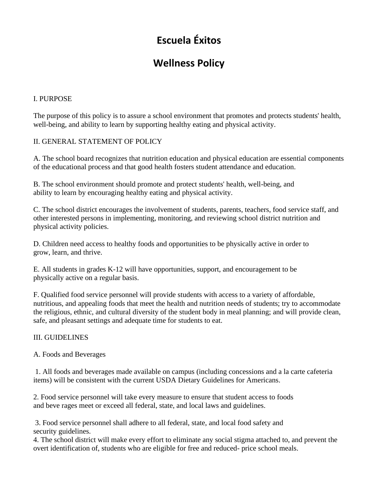# **Escuela Éxitos**

# **Wellness Policy**

## I. PURPOSE

The purpose of this policy is to assure a school environment that promotes and protects students' health, well-being, and ability to learn by supporting healthy eating and physical activity.

### II. GENERAL STATEMENT OF POLICY

A. The school board recognizes that nutrition education and physical education are essential components of the educational process and that good health fosters student attendance and education.

B. The school environment should promote and protect students' health, well-being, and ability to learn by encouraging healthy eating and physical activity.

C. The school district encourages the involvement of students, parents, teachers, food service staff, and other interested persons in implementing, monitoring, and reviewing school district nutrition and physical activity policies.

D. Children need access to healthy foods and opportunities to be physically active in order to grow, learn, and thrive.

E. All students in grades K-12 will have opportunities, support, and encouragement to be physically active on a regular basis.

F. Qualified food service personnel will provide students with access to a variety of affordable, nutritious, and appealing foods that meet the health and nutrition needs of students; try to accommodate the religious, ethnic, and cultural diversity of the student body in meal planning; and will provide clean, safe, and pleasant settings and adequate time for students to eat.

#### III. GUIDELINES

#### A. Foods and Beverages

1. All foods and beverages made available on campus (including concessions and a la carte cafeteria items) will be consistent with the current USDA Dietary Guidelines for Americans.

2. Food service personnel will take every measure to ensure that student access to foods and beve rages meet or exceed all federal, state, and local laws and guidelines.

3. Food service personnel shall adhere to all federal, state, and local food safety and security guidelines.

4. The school district will make every effort to eliminate any social stigma attached to, and prevent the overt identification of, students who are eligible for free and reduced- price school meals.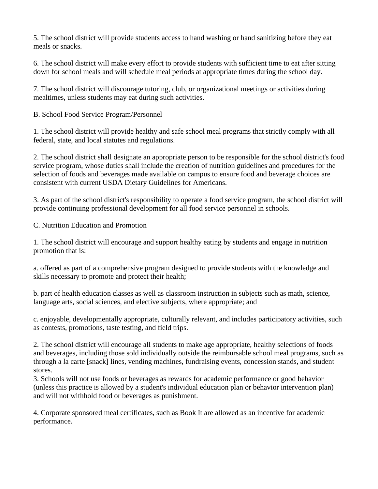5. The school district will provide students access to hand washing or hand sanitizing before they eat meals or snacks.

6. The school district will make every effort to provide students with sufficient time to eat after sitting down for school meals and will schedule meal periods at appropriate times during the school day.

7. The school district will discourage tutoring, club, or organizational meetings or activities during mealtimes, unless students may eat during such activities.

B. School Food Service Program/Personnel

1. The school district will provide healthy and safe school meal programs that strictly comply with all federal, state, and local statutes and regulations.

2. The school district shall designate an appropriate person to be responsible for the school district's food service program, whose duties shall include the creation of nutrition guidelines and procedures for the selection of foods and beverages made available on campus to ensure food and beverage choices are consistent with current USDA Dietary Guidelines for Americans.

3. As part of the school district's responsibility to operate a food service program, the school district will provide continuing professional development for all food service personnel in schools.

C. Nutrition Education and Promotion

1. The school district will encourage and support healthy eating by students and engage in nutrition promotion that is:

a. offered as part of a comprehensive program designed to provide students with the knowledge and skills necessary to promote and protect their health;

b. part of health education classes as well as classroom instruction in subjects such as math, science, language arts, social sciences, and elective subjects, where appropriate; and

c. enjoyable, developmentally appropriate, culturally relevant, and includes participatory activities, such as contests, promotions, taste testing, and field trips.

2. The school district will encourage all students to make age appropriate, healthy selections of foods and beverages, including those sold individually outside the reimbursable school meal programs, such as through a la carte [snack] lines, vending machines, fundraising events, concession stands, and student stores.

3. Schools will not use foods or beverages as rewards for academic performance or good behavior (unless this practice is allowed by a student's individual education plan or behavior intervention plan) and will not withhold food or beverages as punishment.

4. Corporate sponsored meal certificates, such as Book It are allowed as an incentive for academic performance.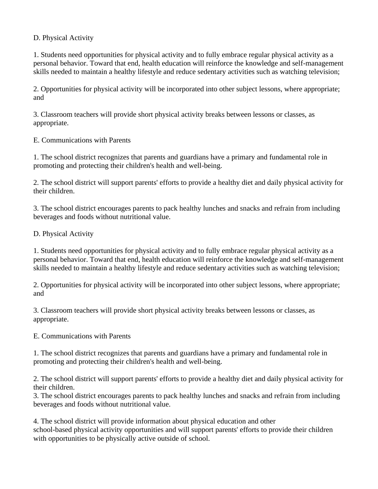#### D. Physical Activity

1. Students need opportunities for physical activity and to fully embrace regular physical activity as a personal behavior. Toward that end, health education will reinforce the knowledge and self-management skills needed to maintain a healthy lifestyle and reduce sedentary activities such as watching television;

2. Opportunities for physical activity will be incorporated into other subject lessons, where appropriate; and

3. Classroom teachers will provide short physical activity breaks between lessons or classes, as appropriate.

E. Communications with Parents

1. The school district recognizes that parents and guardians have a primary and fundamental role in promoting and protecting their children's health and well-being.

2. The school district will support parents' efforts to provide a healthy diet and daily physical activity for their children.

3. The school district encourages parents to pack healthy lunches and snacks and refrain from including beverages and foods without nutritional value.

D. Physical Activity

1. Students need opportunities for physical activity and to fully embrace regular physical activity as a personal behavior. Toward that end, health education will reinforce the knowledge and self-management skills needed to maintain a healthy lifestyle and reduce sedentary activities such as watching television;

2. Opportunities for physical activity will be incorporated into other subject lessons, where appropriate; and

3. Classroom teachers will provide short physical activity breaks between lessons or classes, as appropriate.

E. Communications with Parents

1. The school district recognizes that parents and guardians have a primary and fundamental role in promoting and protecting their children's health and well-being.

2. The school district will support parents' efforts to provide a healthy diet and daily physical activity for their children.

3. The school district encourages parents to pack healthy lunches and snacks and refrain from including beverages and foods without nutritional value.

4. The school district will provide information about physical education and other school-based physical activity opportunities and will support parents' efforts to provide their children with opportunities to be physically active outside of school.